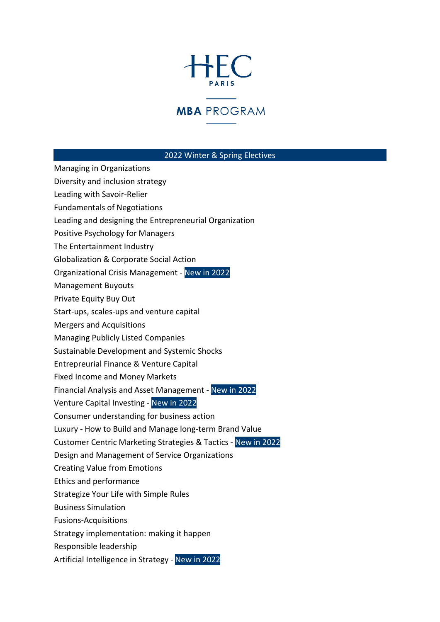## HFC

## **MBA** PROGRAM

## 2022 Winter & Spring Electives

Managing in Organizations

- Diversity and inclusion strategy
- Leading with Savoir-Relier
- Fundamentals of Negotiations
- Leading and designing the Entrepreneurial Organization
- Positive Psychology for Managers
- The Entertainment Industry
- Globalization & Corporate Social Action
- Organizational Crisis Management New in 2022
- Management Buyouts
- Private Equity Buy Out
- Start-ups, scales-ups and venture capital
- Mergers and Acquisitions
- Managing Publicly Listed Companies
- Sustainable Development and Systemic Shocks
- Entrepreurial Finance & Venture Capital
- Fixed Income and Money Markets
- Financial Analysis and Asset Management New in 2022
- Venture Capital Investing New in 2022
- Consumer understanding for business action
- Luxury How to Build and Manage long-term Brand Value
- Customer Centric Marketing Strategies & Tactics New in 2022
- Design and Management of Service Organizations
- Creating Value from Emotions
- Ethics and performance
- Strategize Your Life with Simple Rules
- Business Simulation
- Fusions-Acquisitions
- Strategy implementation: making it happen
- Responsible leadership
- Artificial Intelligence in Strategy New in 2022